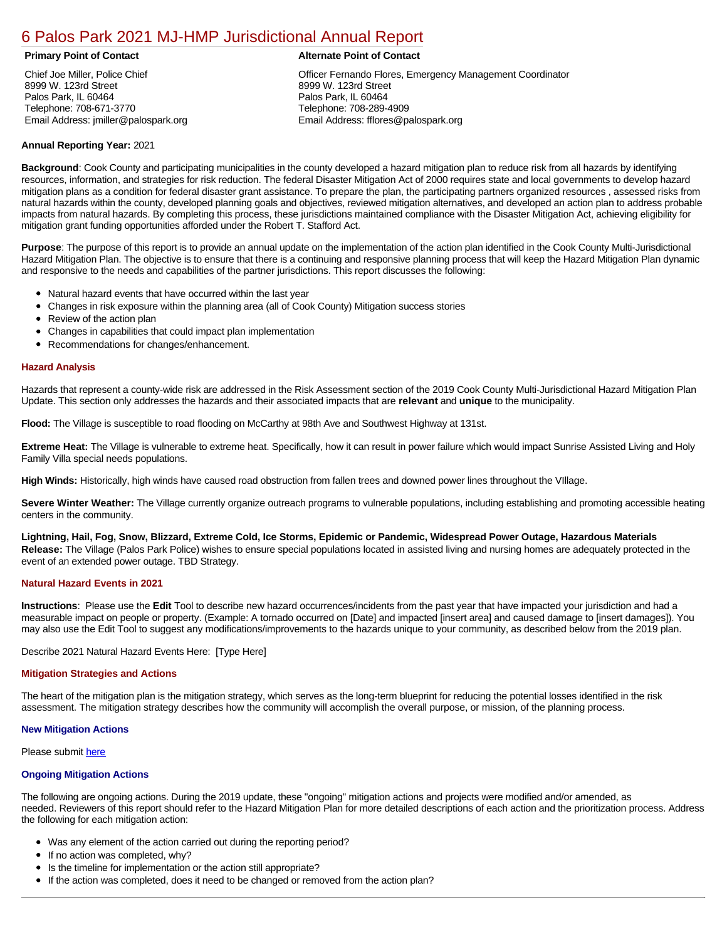# [6 Palos Park 2021 MJ-HMP Jurisdictional Annual Report](https://palospark.isc-cemp.com/Cemp/Details?id=8322862)

Chief Joe Miller, Police Chief 8999 W. 123rd Street Palos Park, IL 60464 Telephone: 708-671-3770 Email Address: jmiller@palospark.org

# **Primary Point of Contact Alternate Point of Contact**

Officer Fernando Flores, Emergency Management Coordinator 8999 W. 123rd Street Palos Park, IL 60464 Telephone: 708-289-4909 Email Address: fflores@palospark.org

# **Annual Reporting Year:** 2021

**Background**: Cook County and participating municipalities in the county developed a hazard mitigation plan to reduce risk from all hazards by identifying resources, information, and strategies for risk reduction. The federal Disaster Mitigation Act of 2000 requires state and local governments to develop hazard mitigation plans as a condition for federal disaster grant assistance. To prepare the plan, the participating partners organized resources , assessed risks from natural hazards within the county, developed planning goals and objectives, reviewed mitigation alternatives, and developed an action plan to address probable impacts from natural hazards. By completing this process, these jurisdictions maintained compliance with the Disaster Mitigation Act, achieving eligibility for mitigation grant funding opportunities afforded under the Robert T. Stafford Act.

**Purpose**: The purpose of this report is to provide an annual update on the implementation of the action plan identified in the Cook County Multi-Jurisdictional Hazard Mitigation Plan. The objective is to ensure that there is a continuing and responsive planning process that will keep the Hazard Mitigation Plan dynamic and responsive to the needs and capabilities of the partner jurisdictions. This report discusses the following:

- Natural hazard events that have occurred within the last year
- $\bullet$ Changes in risk exposure within the planning area (all of Cook County) Mitigation success stories
- Review of the action plan  $\bullet$
- $\bullet$ Changes in capabilities that could impact plan implementation
- Recommendations for changes/enhancement.

### **Hazard Analysis**

Hazards that represent a county-wide risk are addressed in the Risk Assessment section of the 2019 Cook County Multi-Jurisdictional Hazard Mitigation Plan Update. This section only addresses the hazards and their associated impacts that are **relevant** and **unique** to the municipality.

**Flood:** The Village is susceptible to road flooding on McCarthy at 98th Ave and Southwest Highway at 131st.

**Extreme Heat:** The Village is vulnerable to extreme heat. Specifically, how it can result in power failure which would impact Sunrise Assisted Living and Holy Family Villa special needs populations.

**High Winds:** Historically, high winds have caused road obstruction from fallen trees and downed power lines throughout the VIllage.

Severe Winter Weather: The Village currently organize outreach programs to vulnerable populations, including establishing and promoting accessible heating centers in the community.

**Lightning, Hail, Fog, Snow, Blizzard, Extreme Cold, Ice Storms, Epidemic or Pandemic, Widespread Power Outage, Hazardous Materials Release:** The Village (Palos Park Police) wishes to ensure special populations located in assisted living and nursing homes are adequately protected in the event of an extended power outage. TBD Strategy.

#### **Natural Hazard Events in 2021**

**Instructions**: Please use the **Edit** Tool to describe new hazard occurrences/incidents from the past year that have impacted your jurisdiction and had a measurable impact on people or property. (Example: A tornado occurred on [Date] and impacted [insert area] and caused damage to [insert damages]). You may also use the Edit Tool to suggest any modifications/improvements to the hazards unique to your community, as described below from the 2019 plan.

Describe 2021 Natural Hazard Events Here: [Type Here]

#### **Mitigation Strategies and Actions**

The heart of the mitigation plan is the mitigation strategy, which serves as the long-term blueprint for reducing the potential losses identified in the risk assessment. The mitigation strategy describes how the community will accomplish the overall purpose, or mission, of the planning process.

#### **New Mitigation Actions**

Please submit [here](https://integratedsolutions.wufoo.com/forms/mg21jvf0jn639o/)

# **Ongoing Mitigation Actions**

The following are ongoing actions. During the 2019 update, these "ongoing" mitigation actions and projects were modified and/or amended, as needed. Reviewers of this report should refer to the Hazard Mitigation Plan for more detailed descriptions of each action and the prioritization process. Address the following for each mitigation action:

- Was any element of the action carried out during the reporting period?
- If no action was completed, why?
- Is the timeline for implementation or the action still appropriate?
- If the action was completed, does it need to be changed or removed from the action plan?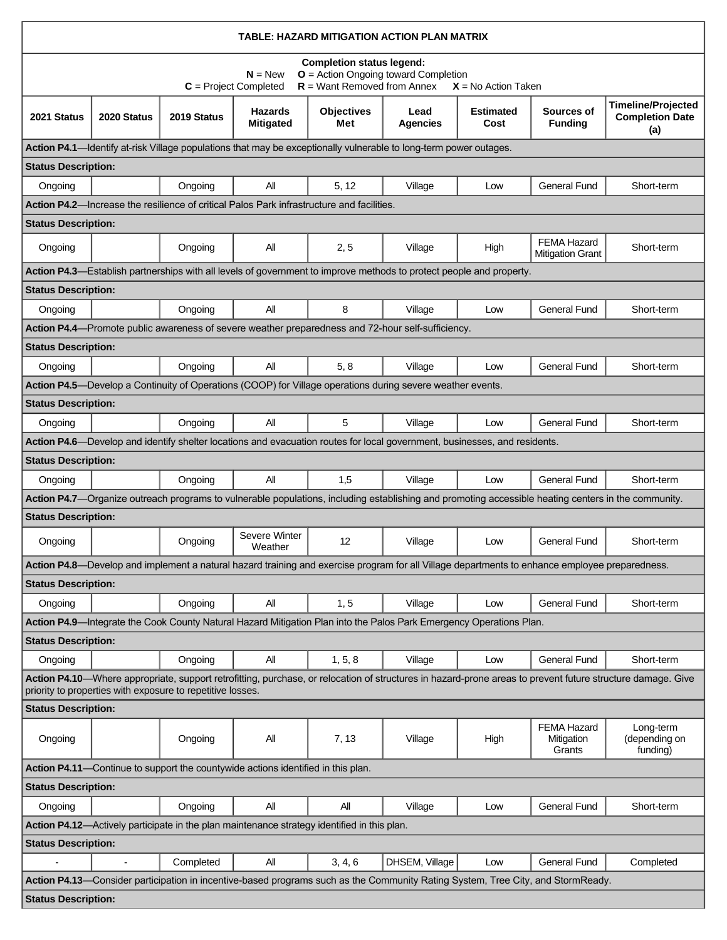| TABLE: HAZARD MITIGATION ACTION PLAN MATRIX                                                                                                                                                                              |             |             |                                                                                                  |                          |                                                                                                                                                |                   |                                               |                                                                                                                                                      |  |  |  |  |
|--------------------------------------------------------------------------------------------------------------------------------------------------------------------------------------------------------------------------|-------------|-------------|--------------------------------------------------------------------------------------------------|--------------------------|------------------------------------------------------------------------------------------------------------------------------------------------|-------------------|-----------------------------------------------|------------------------------------------------------------------------------------------------------------------------------------------------------|--|--|--|--|
| <b>Completion status legend:</b><br>$O =$ Action Ongoing toward Completion<br>$N = New$<br>$R =$ Want Removed from Annex<br>$C =$ Project Completed<br>$X = No$ Action Taken                                             |             |             |                                                                                                  |                          |                                                                                                                                                |                   |                                               |                                                                                                                                                      |  |  |  |  |
| 2021 Status                                                                                                                                                                                                              | 2020 Status | 2019 Status | <b>Hazards</b><br><b>Mitigated</b>                                                               | <b>Objectives</b><br>Met | Lead<br>Agencies                                                                                                                               | Estimated<br>Cost | Sources of<br><b>Funding</b>                  | <b>Timeline/Projected</b><br><b>Completion Date</b><br>(a)                                                                                           |  |  |  |  |
| Action P4.1—Identify at-risk Village populations that may be exceptionally vulnerable to long-term power outages.                                                                                                        |             |             |                                                                                                  |                          |                                                                                                                                                |                   |                                               |                                                                                                                                                      |  |  |  |  |
| <b>Status Description:</b>                                                                                                                                                                                               |             |             |                                                                                                  |                          |                                                                                                                                                |                   |                                               |                                                                                                                                                      |  |  |  |  |
| Ongoing                                                                                                                                                                                                                  |             | Ongoing     | All                                                                                              | 5, 12                    | Village                                                                                                                                        | Low               | <b>General Fund</b>                           | Short-term                                                                                                                                           |  |  |  |  |
|                                                                                                                                                                                                                          |             |             | <b>Action P4.2—Increase the resilience of critical Palos Park infrastructure and facilities.</b> |                          |                                                                                                                                                |                   |                                               |                                                                                                                                                      |  |  |  |  |
| <b>Status Description:</b>                                                                                                                                                                                               |             |             |                                                                                                  |                          |                                                                                                                                                |                   |                                               |                                                                                                                                                      |  |  |  |  |
| Ongoing                                                                                                                                                                                                                  |             | Ongoing     | All                                                                                              | 2, 5                     | Village                                                                                                                                        | High              | <b>FEMA Hazard</b><br><b>Mitigation Grant</b> | Short-term                                                                                                                                           |  |  |  |  |
|                                                                                                                                                                                                                          |             |             |                                                                                                  |                          | Action P4.3—Establish partnerships with all levels of government to improve methods to protect people and property.                            |                   |                                               |                                                                                                                                                      |  |  |  |  |
| <b>Status Description:</b>                                                                                                                                                                                               |             |             |                                                                                                  |                          |                                                                                                                                                |                   |                                               |                                                                                                                                                      |  |  |  |  |
| Ongoing                                                                                                                                                                                                                  |             | Ongoing     | All                                                                                              | 8                        | Village                                                                                                                                        | Low               | <b>General Fund</b>                           | Short-term                                                                                                                                           |  |  |  |  |
|                                                                                                                                                                                                                          |             |             |                                                                                                  |                          | Action P4.4—Promote public awareness of severe weather preparedness and 72-hour self-sufficiency.                                              |                   |                                               |                                                                                                                                                      |  |  |  |  |
| <b>Status Description:</b>                                                                                                                                                                                               |             |             |                                                                                                  |                          |                                                                                                                                                |                   |                                               |                                                                                                                                                      |  |  |  |  |
| Ongoing                                                                                                                                                                                                                  |             | Ongoing     | All                                                                                              | 5, 8                     | Village                                                                                                                                        | Low               | <b>General Fund</b>                           | Short-term                                                                                                                                           |  |  |  |  |
|                                                                                                                                                                                                                          |             |             |                                                                                                  |                          | Action P4.5—Develop a Continuity of Operations (COOP) for Village operations during severe weather events.                                     |                   |                                               |                                                                                                                                                      |  |  |  |  |
| <b>Status Description:</b>                                                                                                                                                                                               |             |             |                                                                                                  |                          |                                                                                                                                                |                   |                                               |                                                                                                                                                      |  |  |  |  |
| Ongoing                                                                                                                                                                                                                  |             | Ongoing     | All                                                                                              | 5                        | Village                                                                                                                                        | Low               | <b>General Fund</b>                           | Short-term                                                                                                                                           |  |  |  |  |
|                                                                                                                                                                                                                          |             |             |                                                                                                  |                          | Action P4.6—Develop and identify shelter locations and evacuation routes for local government, businesses, and residents.                      |                   |                                               |                                                                                                                                                      |  |  |  |  |
| <b>Status Description:</b>                                                                                                                                                                                               |             |             |                                                                                                  |                          |                                                                                                                                                |                   |                                               |                                                                                                                                                      |  |  |  |  |
| Ongoing                                                                                                                                                                                                                  |             | Ongoing     | All                                                                                              | 1,5                      | Village                                                                                                                                        | Low               | General Fund                                  | Short-term                                                                                                                                           |  |  |  |  |
|                                                                                                                                                                                                                          |             |             |                                                                                                  |                          |                                                                                                                                                |                   |                                               | Action P4.7- Organize outreach programs to vulnerable populations, including establishing and promoting accessible heating centers in the community. |  |  |  |  |
| <b>Status Description:</b>                                                                                                                                                                                               |             |             |                                                                                                  |                          |                                                                                                                                                |                   |                                               |                                                                                                                                                      |  |  |  |  |
| Ongoing                                                                                                                                                                                                                  |             | Ongoing     | Severe Winter<br>Weather                                                                         | 12                       | Village                                                                                                                                        | Low               | <b>General Fund</b>                           | Short-term                                                                                                                                           |  |  |  |  |
|                                                                                                                                                                                                                          |             |             |                                                                                                  |                          | Action P4.8-Develop and implement a natural hazard training and exercise program for all Village departments to enhance employee preparedness. |                   |                                               |                                                                                                                                                      |  |  |  |  |
| <b>Status Description:</b>                                                                                                                                                                                               |             |             |                                                                                                  |                          |                                                                                                                                                |                   |                                               |                                                                                                                                                      |  |  |  |  |
| Ongoing                                                                                                                                                                                                                  |             | Ongoing     | All                                                                                              | 1, 5                     | Village                                                                                                                                        | Low               | <b>General Fund</b>                           | Short-term                                                                                                                                           |  |  |  |  |
|                                                                                                                                                                                                                          |             |             |                                                                                                  |                          | Action P4.9-Integrate the Cook County Natural Hazard Mitigation Plan into the Palos Park Emergency Operations Plan.                            |                   |                                               |                                                                                                                                                      |  |  |  |  |
| <b>Status Description:</b>                                                                                                                                                                                               |             |             |                                                                                                  |                          |                                                                                                                                                |                   |                                               |                                                                                                                                                      |  |  |  |  |
| Ongoing                                                                                                                                                                                                                  |             | Ongoing     | All                                                                                              | 1, 5, 8                  | Village                                                                                                                                        | Low               | <b>General Fund</b>                           | Short-term                                                                                                                                           |  |  |  |  |
| Action P4.10—Where appropriate, support retrofitting, purchase, or relocation of structures in hazard-prone areas to prevent future structure damage. Give<br>priority to properties with exposure to repetitive losses. |             |             |                                                                                                  |                          |                                                                                                                                                |                   |                                               |                                                                                                                                                      |  |  |  |  |
| <b>Status Description:</b>                                                                                                                                                                                               |             |             |                                                                                                  |                          |                                                                                                                                                |                   |                                               |                                                                                                                                                      |  |  |  |  |
| Ongoing                                                                                                                                                                                                                  |             | Ongoing     | All                                                                                              | 7, 13                    | Village                                                                                                                                        | High              | <b>FEMA Hazard</b><br>Mitigation<br>Grants    | Long-term<br>(depending on<br>funding)                                                                                                               |  |  |  |  |
|                                                                                                                                                                                                                          |             |             | Action P4.11—Continue to support the countywide actions identified in this plan.                 |                          |                                                                                                                                                |                   |                                               |                                                                                                                                                      |  |  |  |  |
| <b>Status Description:</b>                                                                                                                                                                                               |             |             |                                                                                                  |                          |                                                                                                                                                |                   |                                               |                                                                                                                                                      |  |  |  |  |
| Ongoing                                                                                                                                                                                                                  |             | Ongoing     | Αll                                                                                              | All                      | Village                                                                                                                                        | Low               | <b>General Fund</b>                           | Short-term                                                                                                                                           |  |  |  |  |
|                                                                                                                                                                                                                          |             |             | Action P4.12-Actively participate in the plan maintenance strategy identified in this plan.      |                          |                                                                                                                                                |                   |                                               |                                                                                                                                                      |  |  |  |  |
| <b>Status Description:</b>                                                                                                                                                                                               |             |             |                                                                                                  |                          |                                                                                                                                                |                   |                                               |                                                                                                                                                      |  |  |  |  |
|                                                                                                                                                                                                                          |             | Completed   | All                                                                                              | 3, 4, 6                  | DHSEM, Village                                                                                                                                 | Low               | General Fund                                  | Completed                                                                                                                                            |  |  |  |  |
|                                                                                                                                                                                                                          |             |             |                                                                                                  |                          | Action P4.13-Consider participation in incentive-based programs such as the Community Rating System, Tree City, and StormReady.                |                   |                                               |                                                                                                                                                      |  |  |  |  |
| <b>Status Description:</b>                                                                                                                                                                                               |             |             |                                                                                                  |                          |                                                                                                                                                |                   |                                               |                                                                                                                                                      |  |  |  |  |